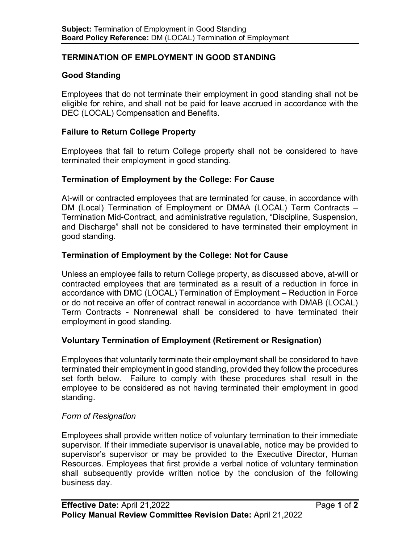# **TERMINATION OF EMPLOYMENT IN GOOD STANDING**

# **Good Standing**

Employees that do not terminate their employment in good standing shall not be eligible for rehire, and shall not be paid for leave accrued in accordance with the DEC (LOCAL) Compensation and Benefits.

# **Failure to Return College Property**

Employees that fail to return College property shall not be considered to have terminated their employment in good standing.

# **Termination of Employment by the College: For Cause**

At-will or contracted employees that are terminated for cause, in accordance with DM (Local) Termination of Employment or DMAA (LOCAL) Term Contracts – Termination Mid-Contract, and administrative regulation, "Discipline, Suspension, and Discharge" shall not be considered to have terminated their employment in good standing.

# **Termination of Employment by the College: Not for Cause**

Unless an employee fails to return College property, as discussed above, at-will or contracted employees that are terminated as a result of a reduction in force in accordance with DMC (LOCAL) Termination of Employment – Reduction in Force or do not receive an offer of contract renewal in accordance with DMAB (LOCAL) Term Contracts - Nonrenewal shall be considered to have terminated their employment in good standing.

## **Voluntary Termination of Employment (Retirement or Resignation)**

Employees that voluntarily terminate their employment shall be considered to have terminated their employment in good standing, provided they follow the procedures set forth below. Failure to comply with these procedures shall result in the employee to be considered as not having terminated their employment in good standing.

## *Form of Resignation*

Employees shall provide written notice of voluntary termination to their immediate supervisor. If their immediate supervisor is unavailable, notice may be provided to supervisor's supervisor or may be provided to the Executive Director, Human Resources. Employees that first provide a verbal notice of voluntary termination shall subsequently provide written notice by the conclusion of the following business day.